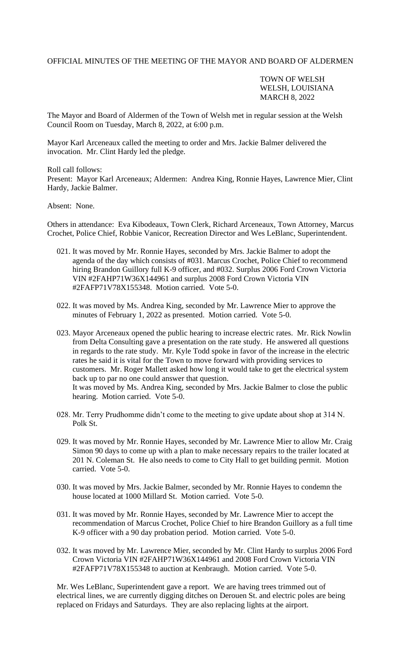### OFFICIAL MINUTES OF THE MEETING OF THE MAYOR AND BOARD OF ALDERMEN

# TOWN OF WELSH WELSH, LOUISIANA MARCH 8, 2022

The Mayor and Board of Aldermen of the Town of Welsh met in regular session at the Welsh Council Room on Tuesday, March 8, 2022, at 6:00 p.m.

Mayor Karl Arceneaux called the meeting to order and Mrs. Jackie Balmer delivered the invocation. Mr. Clint Hardy led the pledge.

Roll call follows:

Present: Mayor Karl Arceneaux; Aldermen: Andrea King, Ronnie Hayes, Lawrence Mier, Clint Hardy, Jackie Balmer.

### Absent: None.

Others in attendance: Eva Kibodeaux, Town Clerk, Richard Arceneaux, Town Attorney, Marcus Crochet, Police Chief, Robbie Vanicor, Recreation Director and Wes LeBlanc, Superintendent.

- 021. It was moved by Mr. Ronnie Hayes, seconded by Mrs. Jackie Balmer to adopt the agenda of the day which consists of #031. Marcus Crochet, Police Chief to recommend hiring Brandon Guillory full K-9 officer, and #032. Surplus 2006 Ford Crown Victoria VIN #2FAHP71W36X144961 and surplus 2008 Ford Crown Victoria VIN #2FAFP71V78X155348. Motion carried. Vote 5-0.
- 022. It was moved by Ms. Andrea King, seconded by Mr. Lawrence Mier to approve the minutes of February 1, 2022 as presented. Motion carried. Vote 5-0.
- 023. Mayor Arceneaux opened the public hearing to increase electric rates. Mr. Rick Nowlin from Delta Consulting gave a presentation on the rate study. He answered all questions in regards to the rate study. Mr. Kyle Todd spoke in favor of the increase in the electric rates he said it is vital for the Town to move forward with providing services to customers. Mr. Roger Mallett asked how long it would take to get the electrical system back up to par no one could answer that question. It was moved by Ms. Andrea King, seconded by Mrs. Jackie Balmer to close the public hearing. Motion carried. Vote 5-0.
- 028. Mr. Terry Prudhomme didn't come to the meeting to give update about shop at 314 N. Polk St.
- 029. It was moved by Mr. Ronnie Hayes, seconded by Mr. Lawrence Mier to allow Mr. Craig Simon 90 days to come up with a plan to make necessary repairs to the trailer located at 201 N. Coleman St. He also needs to come to City Hall to get building permit. Motion carried. Vote 5-0.
- 030. It was moved by Mrs. Jackie Balmer, seconded by Mr. Ronnie Hayes to condemn the house located at 1000 Millard St. Motion carried. Vote 5-0.
- 031. It was moved by Mr. Ronnie Hayes, seconded by Mr. Lawrence Mier to accept the recommendation of Marcus Crochet, Police Chief to hire Brandon Guillory as a full time K-9 officer with a 90 day probation period. Motion carried. Vote 5-0.
- 032. It was moved by Mr. Lawrence Mier, seconded by Mr. Clint Hardy to surplus 2006 Ford Crown Victoria VIN #2FAHP71W36X144961 and 2008 Ford Crown Victoria VIN #2FAFP71V78X155348 to auction at Kenbraugh. Motion carried. Vote 5-0.

Mr. Wes LeBlanc, Superintendent gave a report. We are having trees trimmed out of electrical lines, we are currently digging ditches on Derouen St. and electric poles are being replaced on Fridays and Saturdays. They are also replacing lights at the airport.